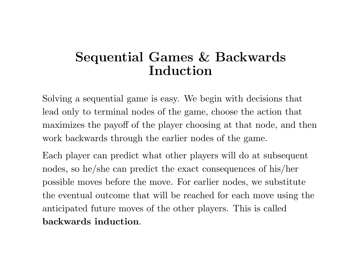## **Sequential Games & Backwards Induction**

Solving <sup>a</sup> sequential game is easy. We begin with decisions that lead only to terminal nodes of the game, choose the action that maximizes the payoff of the <sup>p</sup>layer choosing at that node, and then work backwards through the earlier nodes of the game.

Each player can predict what other players will do at subsequent nodes, so he/she can predict the exact consequences of his/her possible moves before the move. For earlier nodes, we substitute the eventual outcome that will be reached for each move using the anticipated future moves of the other <sup>p</sup>layers. This is called **backwards induction**.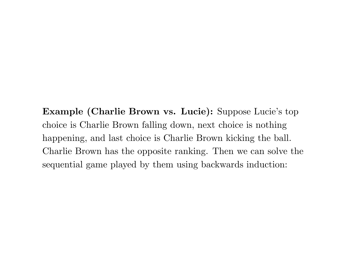**Example (Charlie Brown vs. Lucie):** Suppose Lucie's top choice is Charlie Brown falling down, next choice is nothing happening, and last choice is Charlie Brown kicking the ball. Charlie Brown has the opposite ranking. Then we can solve the sequential game played by them using backwards induction: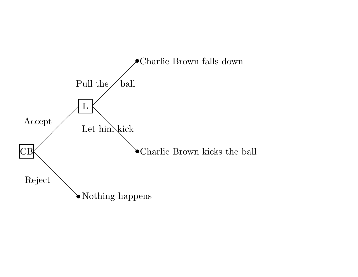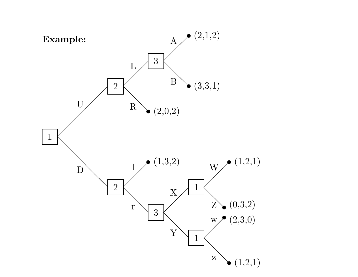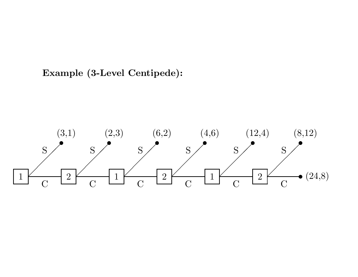## **Example (3-Level Centipede):**

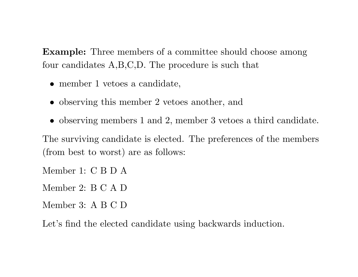**Example:** Three members of a committee should choose among four candidates A,B,C,D. The procedure is such that

- member 1 vetoes a candidate,
- observing this member 2 vetoes another, and
- *•* observing members 1 and 2, member 3 vetoes <sup>a</sup> third candidate.

The surviving candidate is elected. The preferences of the members (from best to worst) are as follows:

Member 1: C B D A

Member 2: B C A D

Member 3: A B C D

Let's find the elected candidate using backwards induction.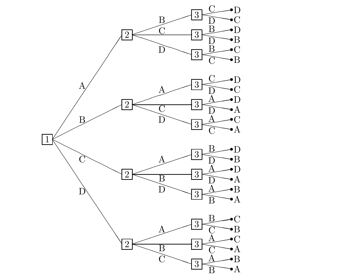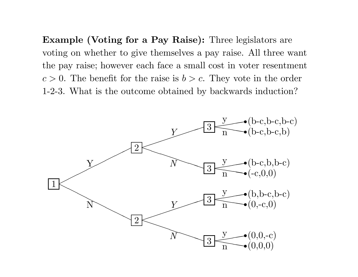**Example (Voting for <sup>a</sup> Pay Raise):** Three legislators are voting on whether to give themselves <sup>a</sup> pay raise. All three want the pay raise; however each face <sup>a</sup> small cost in voter resentment  $c > 0$ . The benefit for the raise is  $b > c$ . They vote in the order 1-2-3. What is the outcome obtained by backwards induction?